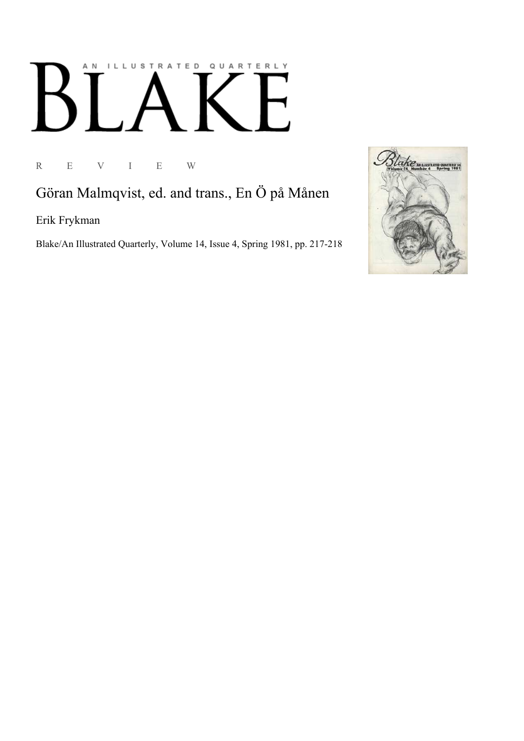## AN ILLUSTRATED QUARTERLY  $\begin{bmatrix} \end{bmatrix}$  $\bf{B}$

R E V I E W

Göran Malmqvist, ed. and trans., En Ö på Månen

Erik Frykman

Blake/An Illustrated Quarterly, Volume 14, Issue 4, Spring 1981, pp. 217-218

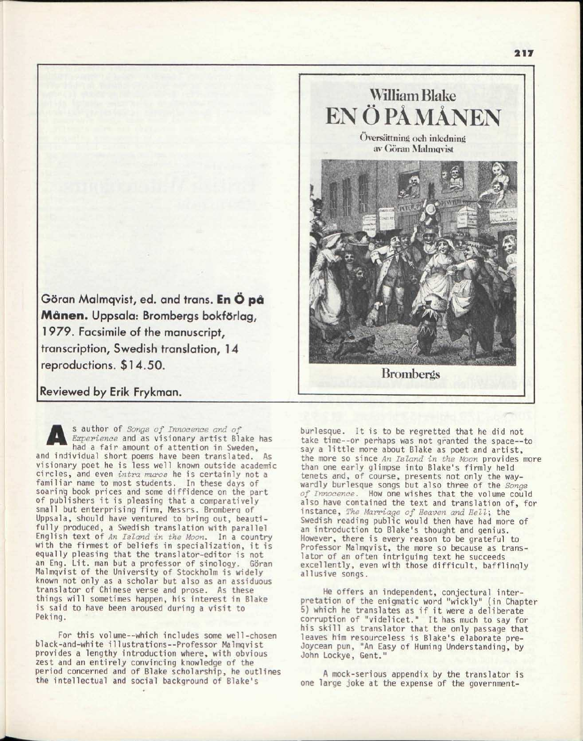

Reviewed by Erik Frykman.

A S author of *Songs of Innocence and of Experience* and as visionary artist Blake has had a fair amount of attention in Sweden, and individual short poems have been translated. As visionary poet he is less well known outside academic circles, and even *intra muros* he is certainly not a familiar name to most students. In these days of soaring book prices and some diffidence on the part of publishers it is pleasing that a comparatively small but enterprising firm, Messrs. Bromberg of Uppsala, should have ventured to bring out, beautifully produced, a Swedish translation with parallel English text of *An Island in the Moon.* In a country with the firmest of beliefs in specialization, it is equally pleasing that the translator-editor is not an Eng. Lit, man but a professor of sinology. Göran Malmovist of the University of Stockholm is widely known not only as a scholar but also as an assiduous translator of Chinese verse and prose. As these things will sometimes happen, his interest in Blake is said to have been aroused during a visit to Peking.

For this volume—which includes some well-chosen black-and-white illustrations—Professor Malmqvist provides a lengthy introduction where, with obvious zest and an entirely convincing knowledge of the period concerned and of Blake scholarship, he outlines the intellectual and social background of Blake's



burlesque. It is to be regretted that he did not take time—or perhaps was not granted the space—to say a little more about Blake as poet and artist, the more so since *An Island in the Moon* provides more than one early glimpse into Blake's firmly held tenets and, of course, presents not only the waywardly burlesque songs but also three of the *Songs of Innocence.* How one wishes that the volume could also have contained the text and translation of, for instance, *The Marriage of Heaven and Hell\* the Swedish reading public would then have had more of an introduction to Blake's thought and genius. However, there is *every* reason to be grateful to Professor Malmqvist, the more so because as translator of an often intriguing text he succeeds excellently, even with those difficult, bafflinqly allusive songs.

He offers an independent, conjectural interpretation of the enigmatic word "wickly" (in Chapter 5) which he translates as if it were a deliberate corruption of "videlicet." It has much to say for his skill as translator that the only passage that leaves him resourceless is Blake's elaborate pre-Joycean pun, "An Easy of Huming Understanding, by John Lockye, Gent."

A mock-serious appendix by the translator is one large joke at the expense of the government-